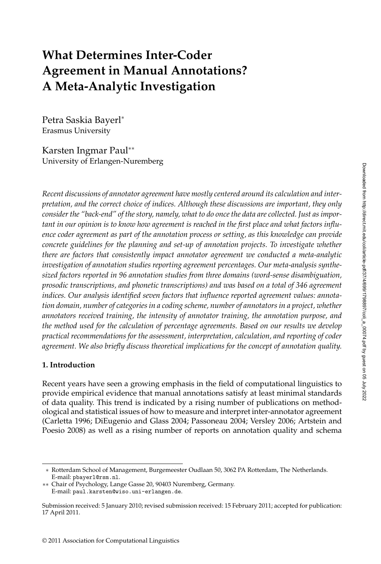# **What Determines Inter-Coder Agreement in Manual Annotations? A Meta-Analytic Investigation**

Petra Saskia Bayerl<sup>∗</sup> Erasmus University

Karsten Ingmar Paul∗∗ University of Erlangen-Nuremberg

*Recent discussions of annotator agreement have mostly centered around its calculation and interpretation, and the correct choice of indices. Although these discussions are important, they only consider the "back-end" of the story, namely, what to do once the data are collected. Just as important in our opinion is to know how agreement is reached in the first place and what factors influence coder agreement as part of the annotation process or setting, as this knowledge can provide concrete guidelines for the planning and set-up of annotation projects. To investigate whether there are factors that consistently impact annotator agreement we conducted a meta-analytic investigation of annotation studies reporting agreement percentages. Our meta-analysis synthesized factors reported in 96 annotation studies from three domains (word-sense disambiguation, prosodic transcriptions, and phonetic transcriptions) and was based on a total of 346 agreement indices. Our analysis identified seven factors that influence reported agreement values: annotation domain, number of categories in a coding scheme, number of annotators in a project, whether annotators received training, the intensity of annotator training, the annotation purpose, and the method used for the calculation of percentage agreements. Based on our results we develop practical recommendations for the assessment, interpretation, calculation, and reporting of coder agreement. We also briefly discuss theoretical implications for the concept of annotation quality.*

#### **1. Introduction**

Recent years have seen a growing emphasis in the field of computational linguistics to provide empirical evidence that manual annotations satisfy at least minimal standards of data quality. This trend is indicated by a rising number of publications on methodological and statistical issues of how to measure and interpret inter-annotator agreement (Carletta 1996; DiEugenio and Glass 2004; Passoneau 2004; Versley 2006; Artstein and Poesio 2008) as well as a rising number of reports on annotation quality and schema

<sup>∗</sup> Rotterdam School of Management, Burgemeester Oudlaan 50, 3062 PA Rotterdam, The Netherlands. E-mail: pbayerl@rsm.nl.

<sup>∗∗</sup> Chair of Psychology, Lange Gasse 20, 90403 Nuremberg, Germany. E-mail: paul.karsten@wiso.uni-erlangen.de.

Submission received: 5 January 2010; revised submission received: 15 February 2011; accepted for publication: 17 April 2011.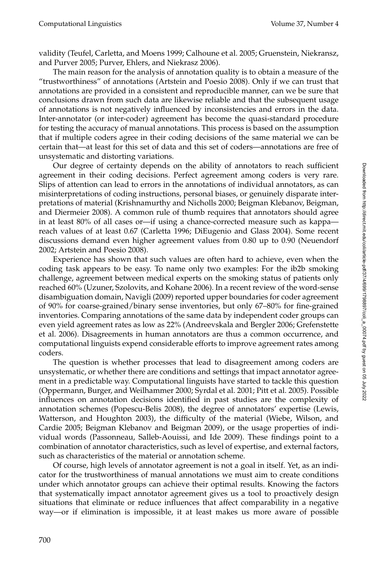validity (Teufel, Carletta, and Moens 1999; Calhoune et al. 2005; Gruenstein, Niekransz, and Purver 2005; Purver, Ehlers, and Niekrasz 2006).

The main reason for the analysis of annotation quality is to obtain a measure of the "trustworthiness" of annotations (Artstein and Poesio 2008). Only if we can trust that annotations are provided in a consistent and reproducible manner, can we be sure that conclusions drawn from such data are likewise reliable and that the subsequent usage of annotations is not negatively influenced by inconsistencies and errors in the data. Inter-annotator (or inter-coder) agreement has become the quasi-standard procedure for testing the accuracy of manual annotations. This process is based on the assumption that if multiple coders agree in their coding decisions of the same material we can be certain that—at least for this set of data and this set of coders—annotations are free of unsystematic and distorting variations.

Our degree of certainty depends on the ability of annotators to reach sufficient agreement in their coding decisions. Perfect agreement among coders is very rare. Slips of attention can lead to errors in the annotations of individual annotators, as can misinterpretations of coding instructions, personal biases, or genuinely disparate interpretations of material (Krishnamurthy and Nicholls 2000; Beigman Klebanov, Beigman, and Diermeier 2008). A common rule of thumb requires that annotators should agree in at least 80% of all cases or—if using a chance-corrected measure such as kappa reach values of at least 0.67 (Carletta 1996; DiEugenio and Glass 2004). Some recent discussions demand even higher agreement values from 0.80 up to 0.90 (Neuendorf 2002; Artstein and Poesio 2008).

Experience has shown that such values are often hard to achieve, even when the coding task appears to be easy. To name only two examples: For the ib2b smoking challenge, agreement between medical experts on the smoking status of patients only reached 60% (Uzuner, Szolovits, and Kohane 2006). In a recent review of the word-sense disambiguation domain, Navigli (2009) reported upper boundaries for coder agreement of 90% for coarse-grained/binary sense inventories, but only 67–80% for fine-grained inventories. Comparing annotations of the same data by independent coder groups can even yield agreement rates as low as 22% (Andreevskala and Bergler 2006; Grefenstette et al. 2006). Disagreements in human annotators are thus a common occurrence, and computational linguists expend considerable efforts to improve agreement rates among coders.

The question is whether processes that lead to disagreement among coders are unsystematic, or whether there are conditions and settings that impact annotator agreement in a predictable way. Computational linguists have started to tackle this question (Oppermann, Burger, and Weilhammer 2000; Syrdal et al. 2001; Pitt et al. 2005). Possible influences on annotation decisions identified in past studies are the complexity of annotation schemes (Popescu-Belis 2008), the degree of annotators' expertise (Lewis, Watterson, and Houghton 2003), the difficulty of the material (Wiebe, Wilson, and Cardie 2005; Beigman Klebanov and Beigman 2009), or the usage properties of individual words (Passonneau, Salleb-Aouissi, and Ide 2009). These findings point to a combination of annotator characteristics, such as level of expertise, and external factors, such as characteristics of the material or annotation scheme.

Of course, high levels of annotator agreement is not a goal in itself. Yet, as an indicator for the trustworthiness of manual annotations we must aim to create conditions under which annotator groups can achieve their optimal results. Knowing the factors that systematically impact annotator agreement gives us a tool to proactively design situations that eliminate or reduce influences that affect comparability in a negative way—or if elimination is impossible, it at least makes us more aware of possible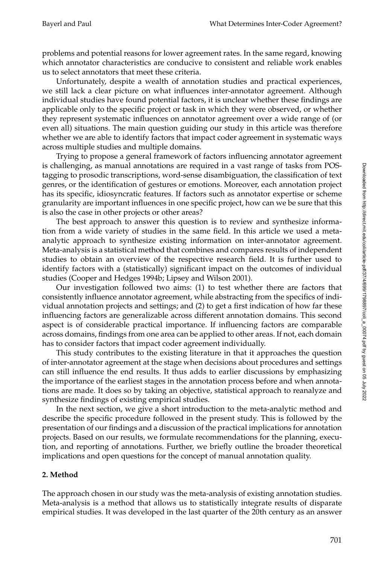problems and potential reasons for lower agreement rates. In the same regard, knowing which annotator characteristics are conducive to consistent and reliable work enables us to select annotators that meet these criteria.

Unfortunately, despite a wealth of annotation studies and practical experiences, we still lack a clear picture on what influences inter-annotator agreement. Although individual studies have found potential factors, it is unclear whether these findings are applicable only to the specific project or task in which they were observed, or whether they represent systematic influences on annotator agreement over a wide range of (or even all) situations. The main question guiding our study in this article was therefore whether we are able to identify factors that impact coder agreement in systematic ways across multiple studies and multiple domains.

Trying to propose a general framework of factors influencing annotator agreement is challenging, as manual annotations are required in a vast range of tasks from POStagging to prosodic transcriptions, word-sense disambiguation, the classification of text genres, or the identification of gestures or emotions. Moreover, each annotation project has its specific, idiosyncratic features. If factors such as annotator expertise or scheme granularity are important influences in one specific project, how can we be sure that this is also the case in other projects or other areas?

The best approach to answer this question is to review and synthesize information from a wide variety of studies in the same field. In this article we used a metaanalytic approach to synthesize existing information on inter-annotator agreement. Meta-analysis is a statistical method that combines and compares results of independent studies to obtain an overview of the respective research field. It is further used to identify factors with a (statistically) significant impact on the outcomes of individual studies (Cooper and Hedges 1994b; Lipsey and Wilson 2001).

Our investigation followed two aims: (1) to test whether there are factors that consistently influence annotator agreement, while abstracting from the specifics of individual annotation projects and settings; and (2) to get a first indication of how far these influencing factors are generalizable across different annotation domains. This second aspect is of considerable practical importance. If influencing factors are comparable across domains, findings from one area can be applied to other areas. If not, each domain has to consider factors that impact coder agreement individually.

This study contributes to the existing literature in that it approaches the question of inter-annotator agreement at the stage when decisions about procedures and settings can still influence the end results. It thus adds to earlier discussions by emphasizing the importance of the earliest stages in the annotation process before and when annotations are made. It does so by taking an objective, statistical approach to reanalyze and synthesize findings of existing empirical studies.

In the next section, we give a short introduction to the meta-analytic method and describe the specific procedure followed in the present study. This is followed by the presentation of our findings and a discussion of the practical implications for annotation projects. Based on our results, we formulate recommendations for the planning, execution, and reporting of annotations. Further, we briefly outline the broader theoretical implications and open questions for the concept of manual annotation quality.

## **2. Method**

The approach chosen in our study was the meta-analysis of existing annotation studies. Meta-analysis is a method that allows us to statistically integrate results of disparate empirical studies. It was developed in the last quarter of the 20th century as an answer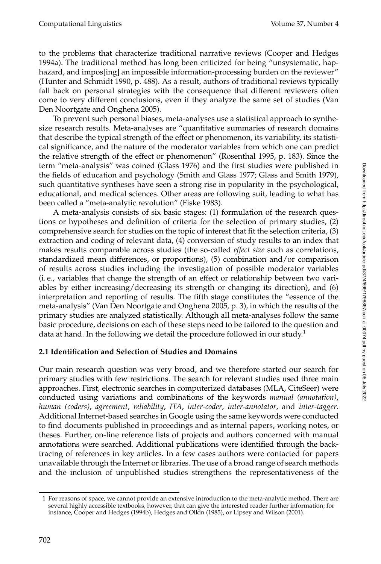to the problems that characterize traditional narrative reviews (Cooper and Hedges 1994a). The traditional method has long been criticized for being "unsystematic, haphazard, and impos[ing] an impossible information-processing burden on the reviewer" (Hunter and Schmidt 1990, p. 488). As a result, authors of traditional reviews typically fall back on personal strategies with the consequence that different reviewers often come to very different conclusions, even if they analyze the same set of studies (Van Den Noortgate and Onghena 2005).

To prevent such personal biases, meta-analyses use a statistical approach to synthesize research results. Meta-analyses are "quantitative summaries of research domains that describe the typical strength of the effect or phenomenon, its variability, its statistical significance, and the nature of the moderator variables from which one can predict the relative strength of the effect or phenomenon" (Rosenthal 1995, p. 183). Since the term "meta-analysis" was coined (Glass 1976) and the first studies were published in the fields of education and psychology (Smith and Glass 1977; Glass and Smith 1979), such quantitative syntheses have seen a strong rise in popularity in the psychological, educational, and medical sciences. Other areas are following suit, leading to what has been called a "meta-analytic revolution" (Fiske 1983).

A meta-analysis consists of six basic stages: (1) formulation of the research questions or hypotheses and definition of criteria for the selection of primary studies, (2) comprehensive search for studies on the topic of interest that fit the selection criteria, (3) extraction and coding of relevant data, (4) conversion of study results to an index that makes results comparable across studies (the so-called *effect size* such as correlations, standardized mean differences, or proportions), (5) combination and/or comparison of results across studies including the investigation of possible moderator variables (i. e., variables that change the strength of an effect or relationship between two variables by either increasing/decreasing its strength or changing its direction), and (6) interpretation and reporting of results. The fifth stage constitutes the "essence of the meta-analysis" (Van Den Noortgate and Onghena 2005, p. 3), in which the results of the primary studies are analyzed statistically. Although all meta-analyses follow the same basic procedure, decisions on each of these steps need to be tailored to the question and data at hand. In the following we detail the procedure followed in our study.<sup>1</sup>

#### **2.1 Identification and Selection of Studies and Domains**

Our main research question was very broad, and we therefore started our search for primary studies with few restrictions. The search for relevant studies used three main approaches. First, electronic searches in computerized databases (MLA, CiteSeer) were conducted using variations and combinations of the keywords *manual (annotation)*, *human (coders)*, *agreement*, *reliability*, *ITA*, *inter-coder*, *inter-annotator*, and *inter-tagger*. Additional Internet-based searches in Google using the same keywords were conducted to find documents published in proceedings and as internal papers, working notes, or theses. Further, on-line reference lists of projects and authors concerned with manual annotations were searched. Additional publications were identified through the backtracing of references in key articles. In a few cases authors were contacted for papers unavailable through the Internet or libraries. The use of a broad range of search methods and the inclusion of unpublished studies strengthens the representativeness of the

<sup>1</sup> For reasons of space, we cannot provide an extensive introduction to the meta-analytic method. There are several highly accessible textbooks, however, that can give the interested reader further information; for instance, Cooper and Hedges (1994b), Hedges and Olkin (1985), or Lipsey and Wilson (2001).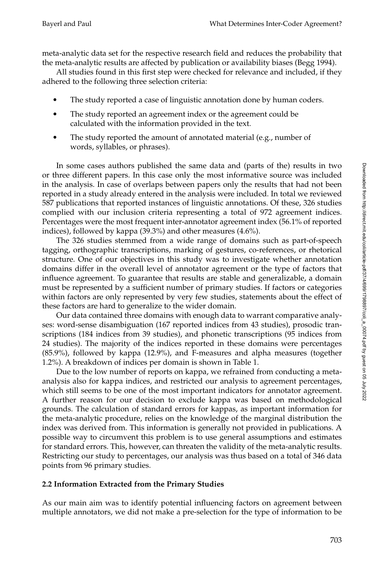meta-analytic data set for the respective research field and reduces the probability that the meta-analytic results are affected by publication or availability biases (Begg 1994).

All studies found in this first step were checked for relevance and included, if they adhered to the following three selection criteria:

- -The study reported a case of linguistic annotation done by human coders.
- - The study reported an agreement index or the agreement could be calculated with the information provided in the text.
- - The study reported the amount of annotated material (e.g., number of words, syllables, or phrases).

In some cases authors published the same data and (parts of the) results in two or three different papers. In this case only the most informative source was included in the analysis. In case of overlaps between papers only the results that had not been reported in a study already entered in the analysis were included. In total we reviewed 587 publications that reported instances of linguistic annotations. Of these, 326 studies complied with our inclusion criteria representing a total of 972 agreement indices. Percentages were the most frequent inter-annotator agreement index (56.1% of reported indices), followed by kappa (39.3%) and other measures (4.6%).

The 326 studies stemmed from a wide range of domains such as part-of-speech tagging, orthographic transcriptions, marking of gestures, co-references, or rhetorical structure. One of our objectives in this study was to investigate whether annotation domains differ in the overall level of annotator agreement or the type of factors that influence agreement. To guarantee that results are stable and generalizable, a domain must be represented by a sufficient number of primary studies. If factors or categories within factors are only represented by very few studies, statements about the effect of these factors are hard to generalize to the wider domain.

Our data contained three domains with enough data to warrant comparative analyses: word-sense disambiguation (167 reported indices from 43 studies), prosodic transcriptions (184 indices from 39 studies), and phonetic transcriptions (95 indices from 24 studies). The majority of the indices reported in these domains were percentages (85.9%), followed by kappa (12.9%), and F-measures and alpha measures (together 1.2%). A breakdown of indices per domain is shown in Table 1.

Due to the low number of reports on kappa, we refrained from conducting a metaanalysis also for kappa indices, and restricted our analysis to agreement percentages, which still seems to be one of the most important indicators for annotator agreement. A further reason for our decision to exclude kappa was based on methodological grounds. The calculation of standard errors for kappas, as important information for the meta-analytic procedure, relies on the knowledge of the marginal distribution the index was derived from. This information is generally not provided in publications. A possible way to circumvent this problem is to use general assumptions and estimates for standard errors. This, however, can threaten the validity of the meta-analytic results. Restricting our study to percentages, our analysis was thus based on a total of 346 data points from 96 primary studies.

#### **2.2 Information Extracted from the Primary Studies**

As our main aim was to identify potential influencing factors on agreement between multiple annotators, we did not make a pre-selection for the type of information to be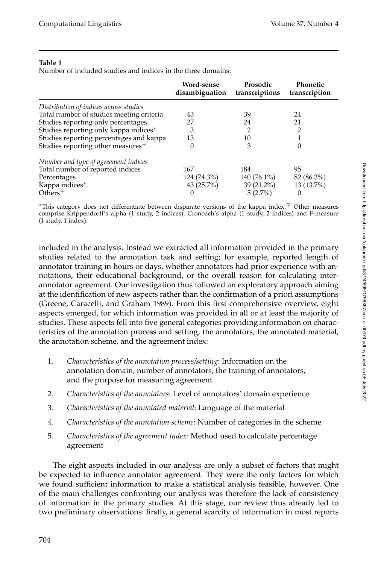#### **Table 1**

Number of included studies and indices in the three domains.

|                                          | Word-sense<br>disambiguation | Prosodic<br>transcriptions | Phonetic<br>transcription |
|------------------------------------------|------------------------------|----------------------------|---------------------------|
| Distribution of indices across studies   |                              |                            |                           |
| Total number of studies meeting criteria | 43                           | 39                         | 24                        |
| Studies reporting only percentages       | 27                           | 24                         | 21                        |
| Studies reporting only kappa indices*    | 3                            | 2                          | 2                         |
| Studies reporting percentages and kappa  | 13                           | 10                         |                           |
| Studies reporting other measures $\pm$   | 0                            | 3                          |                           |
| Number and type of agreement indices     |                              |                            |                           |
| Total number of reported indices         | 167                          | 184                        | 95                        |
| Percentages                              | 124 (74.3%)                  | $140(76.1\%)$              | 82 (86.3%)                |
| Kappa indices*                           | 43 (25.7%)                   | $39(21.2\%)$               | $13(13.7\%)$              |
| Others $\pm$                             | 0                            | $5(2.7\%)$                 | 0                         |

\*This category does not differentiate between disparate versions of the kappa index.<sup>‡</sup> Other measures comprise Krippendorff's alpha (1 study, 2 indices), Cronbach's alpha (1 study, 2 indices) and F-measure (1 study, 1 index).

included in the analysis. Instead we extracted all information provided in the primary studies related to the annotation task and setting; for example, reported length of annotator training in hours or days, whether annotators had prior experience with annotations, their educational background, or the overall reason for calculating interannotator agreement. Our investigation thus followed an exploratory approach aiming at the identification of new aspects rather than the confirmation of a priori assumptions (Greene, Caracelli, and Graham 1989). From this first comprehensive overview, eight aspects emerged, for which information was provided in all or at least the majority of studies. These aspects fell into five general categories providing information on characteristics of the annotation process and setting, the annotators, the annotated material, the annotation scheme, and the agreement index:

- 1. *Characteristics of the annotation process/setting*: Information on the annotation domain, number of annotators, the training of annotators, and the purpose for measuring agreement
- 2. *Characteristics of the annotators*: Level of annotators' domain experience
- 3. *Characteristics of the annotated material*: Language of the material
- 4. *Characteristics of the annotation scheme*: Number of categories in the scheme
- 5. *Characteristics of the agreement index*: Method used to calculate percentage agreement

The eight aspects included in our analysis are only a subset of factors that might be expected to influence annotator agreement. They were the only factors for which we found sufficient information to make a statistical analysis feasible, however. One of the main challenges confronting our analysis was therefore the lack of consistency of information in the primary studies. At this stage, our review thus already led to two preliminary observations: firstly, a general scarcity of information in most reports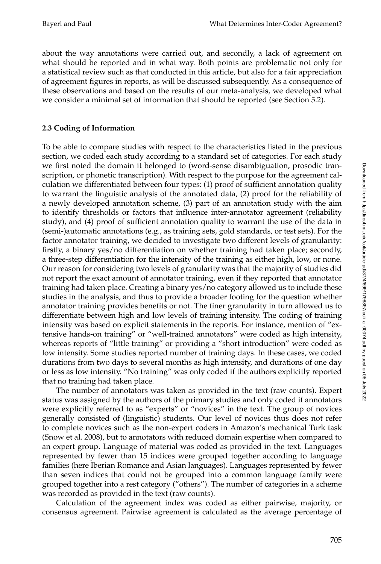about the way annotations were carried out, and secondly, a lack of agreement on what should be reported and in what way. Both points are problematic not only for a statistical review such as that conducted in this article, but also for a fair appreciation of agreement figures in reports, as will be discussed subsequently. As a consequence of these observations and based on the results of our meta-analysis, we developed what we consider a minimal set of information that should be reported (see Section 5.2).

## **2.3 Coding of Information**

To be able to compare studies with respect to the characteristics listed in the previous section, we coded each study according to a standard set of categories. For each study we first noted the domain it belonged to (word-sense disambiguation, prosodic transcription, or phonetic transcription). With respect to the purpose for the agreement calculation we differentiated between four types: (1) proof of sufficient annotation quality to warrant the linguistic analysis of the annotated data, (2) proof for the reliability of a newly developed annotation scheme, (3) part of an annotation study with the aim to identify thresholds or factors that influence inter-annotator agreement (reliability study), and (4) proof of sufficient annotation quality to warrant the use of the data in (semi-)automatic annotations (e.g., as training sets, gold standards, or test sets). For the factor annotator training, we decided to investigate two different levels of granularity: firstly, a binary yes/no differentiation on whether training had taken place; secondly, a three-step differentiation for the intensity of the training as either high, low, or none. Our reason for considering two levels of granularity was that the majority of studies did not report the exact amount of annotator training, even if they reported that annotator training had taken place. Creating a binary yes/no category allowed us to include these studies in the analysis, and thus to provide a broader footing for the question whether annotator training provides benefits or not. The finer granularity in turn allowed us to differentiate between high and low levels of training intensity. The coding of training intensity was based on explicit statements in the reports. For instance, mention of "extensive hands-on training" or "well-trained annotators" were coded as high intensity, whereas reports of "little training" or providing a "short introduction" were coded as low intensity. Some studies reported number of training days. In these cases, we coded durations from two days to several months as high intensity, and durations of one day or less as low intensity. "No training" was only coded if the authors explicitly reported that no training had taken place.

The number of annotators was taken as provided in the text (raw counts). Expert status was assigned by the authors of the primary studies and only coded if annotators were explicitly referred to as "experts" or "novices" in the text. The group of novices generally consisted of (linguistic) students. Our level of novices thus does not refer to complete novices such as the non-expert coders in Amazon's mechanical Turk task (Snow et al. 2008), but to annotators with reduced domain expertise when compared to an expert group. Language of material was coded as provided in the text. Languages represented by fewer than 15 indices were grouped together according to language families (here Iberian Romance and Asian languages). Languages represented by fewer than seven indices that could not be grouped into a common language family were grouped together into a rest category ("others"). The number of categories in a scheme was recorded as provided in the text (raw counts).

Calculation of the agreement index was coded as either pairwise, majority, or consensus agreement. Pairwise agreement is calculated as the average percentage of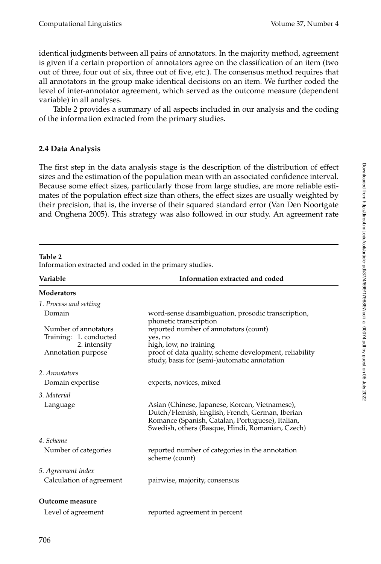identical judgments between all pairs of annotators. In the majority method, agreement is given if a certain proportion of annotators agree on the classification of an item (two out of three, four out of six, three out of five, etc.). The consensus method requires that all annotators in the group make identical decisions on an item. We further coded the level of inter-annotator agreement, which served as the outcome measure (dependent variable) in all analyses.

Table 2 provides a summary of all aspects included in our analysis and the coding of the information extracted from the primary studies.

#### **2.4 Data Analysis**

The first step in the data analysis stage is the description of the distribution of effect sizes and the estimation of the population mean with an associated confidence interval. Because some effect sizes, particularly those from large studies, are more reliable estimates of the population effect size than others, the effect sizes are usually weighted by their precision, that is, the inverse of their squared standard error (Van Den Noortgate and Onghena 2005). This strategy was also followed in our study. An agreement rate

**Table 2**

Information extracted and coded in the primary studies.

| Variable                                                                                       | Information extracted and coded                                                                                                                                                                                                                                      |
|------------------------------------------------------------------------------------------------|----------------------------------------------------------------------------------------------------------------------------------------------------------------------------------------------------------------------------------------------------------------------|
| <b>Moderators</b>                                                                              |                                                                                                                                                                                                                                                                      |
| 1. Process and setting                                                                         |                                                                                                                                                                                                                                                                      |
| Domain<br>Number of annotators<br>Training: 1. conducted<br>2. intensity<br>Annotation purpose | word-sense disambiguation, prosodic transcription,<br>phonetic transcription<br>reported number of annotators (count)<br>yes, no<br>high, low, no training<br>proof of data quality, scheme development, reliability<br>study, basis for (semi-)automatic annotation |
| 2. Annotators                                                                                  |                                                                                                                                                                                                                                                                      |
| Domain expertise                                                                               | experts, novices, mixed                                                                                                                                                                                                                                              |
| 3. Material                                                                                    |                                                                                                                                                                                                                                                                      |
| Language                                                                                       | Asian (Chinese, Japanese, Korean, Vietnamese),<br>Dutch/Flemish, English, French, German, Iberian<br>Romance (Spanish, Catalan, Portuguese), Italian,<br>Swedish, others (Basque, Hindi, Romanian, Czech)                                                            |
| 4. Scheme                                                                                      |                                                                                                                                                                                                                                                                      |
| Number of categories                                                                           | reported number of categories in the annotation<br>scheme (count)                                                                                                                                                                                                    |
| 5. Agreement index                                                                             |                                                                                                                                                                                                                                                                      |
| Calculation of agreement                                                                       | pairwise, majority, consensus                                                                                                                                                                                                                                        |
| Outcome measure                                                                                |                                                                                                                                                                                                                                                                      |
| Level of agreement                                                                             | reported agreement in percent                                                                                                                                                                                                                                        |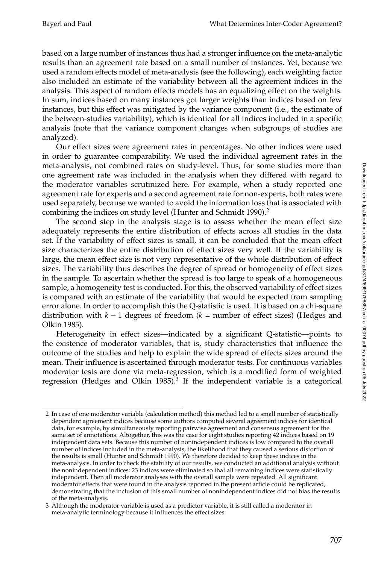based on a large number of instances thus had a stronger influence on the meta-analytic results than an agreement rate based on a small number of instances. Yet, because we used a random effects model of meta-analysis (see the following), each weighting factor also included an estimate of the variability between all the agreement indices in the analysis. This aspect of random effects models has an equalizing effect on the weights. In sum, indices based on many instances got larger weights than indices based on few instances, but this effect was mitigated by the variance component (i.e., the estimate of the between-studies variability), which is identical for all indices included in a specific analysis (note that the variance component changes when subgroups of studies are analyzed).

Our effect sizes were agreement rates in percentages. No other indices were used in order to guarantee comparability. We used the individual agreement rates in the meta-analysis, not combined rates on study-level. Thus, for some studies more than one agreement rate was included in the analysis when they differed with regard to the moderator variables scrutinized here. For example, when a study reported one agreement rate for experts and a second agreement rate for non-experts, both rates were used separately, because we wanted to avoid the information loss that is associated with combining the indices on study level (Hunter and Schmidt 1990).<sup>2</sup>

The second step in the analysis stage is to assess whether the mean effect size adequately represents the entire distribution of effects across all studies in the data set. If the variability of effect sizes is small, it can be concluded that the mean effect size characterizes the entire distribution of effect sizes very well. If the variability is large, the mean effect size is not very representative of the whole distribution of effect sizes. The variability thus describes the degree of spread or homogeneity of effect sizes in the sample. To ascertain whether the spread is too large to speak of a homogeneous sample, a homogeneity test is conducted. For this, the observed variability of effect sizes is compared with an estimate of the variability that would be expected from sampling error alone. In order to accomplish this the Q-statistic is used. It is based on a chi-square distribution with *k* − 1 degrees of freedom (*k* = number of effect sizes) (Hedges and Olkin 1985).

Heterogeneity in effect sizes—indicated by a significant Q-statistic—points to the existence of moderator variables, that is, study characteristics that influence the outcome of the studies and help to explain the wide spread of effects sizes around the mean. Their influence is ascertained through moderator tests. For continuous variables moderator tests are done via meta-regression, which is a modified form of weighted regression (Hedges and Olkin  $1985$ ).<sup>3</sup> If the independent variable is a categorical

<sup>2</sup> In case of one moderator variable (calculation method) this method led to a small number of statistically dependent agreement indices because some authors computed several agreement indices for identical data, for example, by simultaneously reporting pairwise agreement and consensus agreement for the same set of annotations. Altogether, this was the case for eight studies reporting 42 indices based on 19 independent data sets. Because this number of nonindependent indices is low compared to the overall number of indices included in the meta-analysis, the likelihood that they caused a serious distortion of the results is small (Hunter and Schmidt 1990). We therefore decided to keep these indices in the meta-analysis. In order to check the stability of our results, we conducted an additional analysis without the nonindependent indices: 23 indices were eliminated so that all remaining indices were statistically independent. Then all moderator analyses with the overall sample were repeated. All significant moderator effects that were found in the analysis reported in the present article could be replicated, demonstrating that the inclusion of this small number of nonindependent indices did not bias the results of the meta-analysis.

<sup>3</sup> Although the moderator variable is used as a predictor variable, it is still called a moderator in meta-analytic terminology because it influences the effect sizes.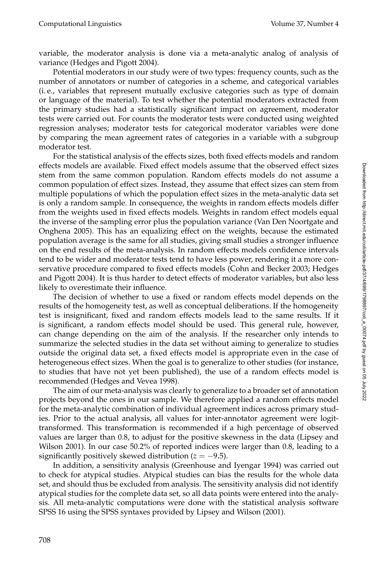variable, the moderator analysis is done via a meta-analytic analog of analysis of variance (Hedges and Pigott 2004).

Potential moderators in our study were of two types: frequency counts, such as the number of annotators or number of categories in a scheme, and categorical variables (i. e., variables that represent mutually exclusive categories such as type of domain or language of the material). To test whether the potential moderators extracted from the primary studies had a statistically significant impact on agreement, moderator tests were carried out. For counts the moderator tests were conducted using weighted regression analyses; moderator tests for categorical moderator variables were done by comparing the mean agreement rates of categories in a variable with a subgroup moderator test.

For the statistical analysis of the effects sizes, both fixed effects models and random effects models are available. Fixed effect models assume that the observed effect sizes stem from the same common population. Random effects models do not assume a common population of effect sizes. Instead, they assume that effect sizes can stem from multiple populations of which the population effect sizes in the meta-analytic data set is only a random sample. In consequence, the weights in random effects models differ from the weights used in fixed effects models. Weights in random effect models equal the inverse of the sampling error plus the population variance (Van Den Noortgate and Onghena 2005). This has an equalizing effect on the weights, because the estimated population average is the same for all studies, giving small studies a stronger influence on the end results of the meta-analysis. In random effects models confidence intervals tend to be wider and moderator tests tend to have less power, rendering it a more conservative procedure compared to fixed effects models (Cohn and Becker 2003; Hedges and Pigott 2004). It is thus harder to detect effects of moderator variables, but also less likely to overestimate their influence.

The decision of whether to use a fixed or random effects model depends on the results of the homogeneity test, as well as conceptual deliberations. If the homogeneity test is insignificant, fixed and random effects models lead to the same results. If it is significant, a random effects model should be used. This general rule, however, can change depending on the aim of the analysis. If the researcher only intends to summarize the selected studies in the data set without aiming to generalize to studies outside the original data set, a fixed effects model is appropriate even in the case of heterogeneous effect sizes. When the goal is to generalize to other studies (for instance, to studies that have not yet been published), the use of a random effects model is recommended (Hedges and Vevea 1998).

The aim of our meta-analysis was clearly to generalize to a broader set of annotation projects beyond the ones in our sample. We therefore applied a random effects model for the meta-analytic combination of individual agreement indices across primary studies. Prior to the actual analysis, all values for inter-annotator agreement were logittransformed. This transformation is recommended if a high percentage of observed values are larger than 0.8, to adjust for the positive skewness in the data (Lipsey and Wilson 2001). In our case 50.2% of reported indices were larger than 0.8, leading to a significantly positively skewed distribution  $(z = -9.5)$ .

In addition, a sensitivity analysis (Greenhouse and Iyengar 1994) was carried out to check for atypical studies. Atypical studies can bias the results for the whole data set, and should thus be excluded from analysis. The sensitivity analysis did not identify atypical studies for the complete data set, so all data points were entered into the analysis. All meta-analytic computations were done with the statistical analysis software SPSS 16 using the SPSS syntaxes provided by Lipsey and Wilson (2001).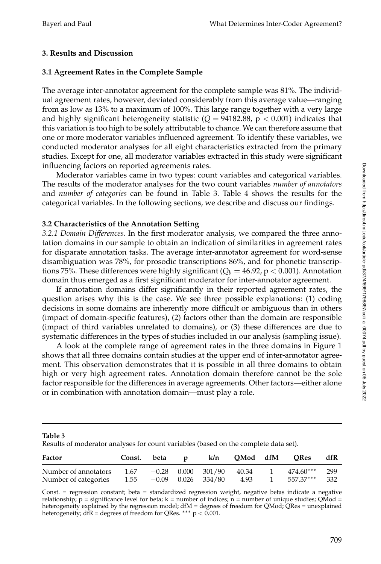## **3. Results and Discussion 3.1 Agreement Rates in the Complete Sample**

The average inter-annotator agreement for the complete sample was 81%. The individual agreement rates, however, deviated considerably from this average value—ranging from as low as 13% to a maximum of 100%. This large range together with a very large and highly significant heterogeneity statistic ( $Q = 94182.88$ ,  $p < 0.001$ ) indicates that this variation is too high to be solely attributable to chance. We can therefore assume that one or more moderator variables influenced agreement. To identify these variables, we conducted moderator analyses for all eight characteristics extracted from the primary studies. Except for one, all moderator variables extracted in this study were significant influencing factors on reported agreements rates.

Moderator variables came in two types: count variables and categorical variables. The results of the moderator analyses for the two count variables *number of annotators* and *number of categories* can be found in Table 3. Table 4 shows the results for the categorical variables. In the following sections, we describe and discuss our findings.

## **3.2 Characteristics of the Annotation Setting**

*3.2.1 Domain Differences.* In the first moderator analysis, we compared the three annotation domains in our sample to obtain an indication of similarities in agreement rates for disparate annotation tasks. The average inter-annotator agreement for word-sense disambiguation was 78%, for prosodic transcriptions 86%, and for phonetic transcriptions 75%. These differences were highly significant  $(Q_b = 46.92, p < 0.001)$ . Annotation domain thus emerged as a first significant moderator for inter-annotator agreement.

If annotation domains differ significantly in their reported agreement rates, the question arises why this is the case. We see three possible explanations: (1) coding decisions in some domains are inherently more difficult or ambiguous than in others (impact of domain-specific features), (2) factors other than the domain are responsible (impact of third variables unrelated to domains), or (3) these differences are due to systematic differences in the types of studies included in our analysis (sampling issue).

A look at the complete range of agreement rates in the three domains in Figure 1 shows that all three domains contain studies at the upper end of inter-annotator agreement. This observation demonstrates that it is possible in all three domains to obtain high or very high agreement rates. Annotation domain therefore cannot be the sole factor responsible for the differences in average agreements. Other factors—either alone or in combination with annotation domain—must play a role.

#### **Table 3**

Results of moderator analyses for count variables (based on the complete data set).

| Factor                                       | Const.       | beta | $\mathbf{p}$ | k/n                                          | OMod dfM      | <b>ORes</b>              | dfR        |
|----------------------------------------------|--------------|------|--------------|----------------------------------------------|---------------|--------------------------|------------|
| Number of annotators<br>Number of categories | 1.67<br>1.55 |      |              | $-0.28$ 0.000 301/90<br>$-0.09$ 0.026 334/80 | 40.34<br>4.93 | $474.60***$<br>557.37*** | 299<br>332 |

Const. = regression constant; beta = standardized regression weight, negative betas indicate a negative relationship;  $p =$  significance level for beta;  $k =$  number of indices;  $n =$  number of unique studies; QMod = heterogeneity explained by the regression model; dfM = degrees of freedom for QMod; QRes = unexplained heterogeneity; dfR = degrees of freedom for QRes. \*\*\*  $p < 0.001$ .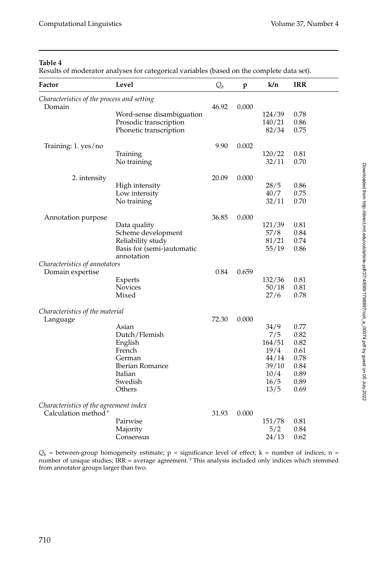#### **Table 4**

Results of moderator analyses for categorical variables (based on the complete data set).

| Factor                                                            | Level                                                                                                           | $Q_b$ | p     | k/n                                                                     | <b>IRR</b>                                                           |
|-------------------------------------------------------------------|-----------------------------------------------------------------------------------------------------------------|-------|-------|-------------------------------------------------------------------------|----------------------------------------------------------------------|
| Characteristics of the process and setting<br>Domain              |                                                                                                                 | 46.92 | 0.000 |                                                                         |                                                                      |
|                                                                   | Word-sense disambiguation<br>Prosodic transcription<br>Phonetic transcription                                   |       |       | 124/39<br>140/21<br>82/34                                               | 0.78<br>0.86<br>0.75                                                 |
| Training: 1. yes/no                                               | Training<br>No training                                                                                         | 9.90  | 0.002 | 120/22<br>32/11                                                         | 0.81<br>0.70                                                         |
| 2. intensity                                                      | High intensity<br>Low intensity<br>No training                                                                  | 20.09 | 0.000 | 28/5<br>40/7<br>32/11                                                   | 0.86<br>0.75<br>0.70                                                 |
| Annotation purpose                                                | Data quality<br>Scheme development<br>Reliability study<br>Basis for (semi-)automatic<br>annotation             | 36.85 | 0.000 | 121/39<br>57/8<br>81/21<br>55/19                                        | 0.81<br>0.84<br>0.74<br>0.86                                         |
| Characteristics of annotators<br>Domain expertise                 | Experts<br><b>Novices</b><br>Mixed                                                                              | 0.84  | 0.659 | 132/36<br>50/18<br>27/6                                                 | 0.81<br>0.81<br>0.78                                                 |
| Characteristics of the material<br>Language                       | Asian<br>Dutch/Flemish<br>English<br>French<br>German<br><b>Iberian Romance</b><br>Italian<br>Swedish<br>Others | 72.30 | 0.000 | 34/9<br>7/5<br>164/51<br>19/4<br>44/14<br>39/10<br>10/4<br>16/5<br>13/5 | 0.77<br>0.82<br>0.82<br>0.61<br>0.78<br>0.84<br>0.89<br>0.89<br>0.69 |
| Characteristics of the agreement index<br>Calculation method $^+$ | Pairwise<br>Majority<br>Consensus                                                                               | 31.93 | 0.000 | 151/78<br>5/2<br>24/13                                                  | 0.81<br>0.84<br>0.62                                                 |

 $Q_b$  = between-group homogeneity estimate; p = significance level of effect; k = number of indices; n = number of unique studies; IRR = average agreement.<sup>+</sup>This analysis included only indices which stemmed from annotator groups larger than two.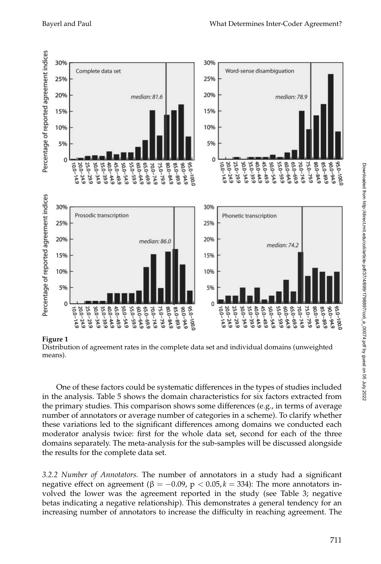

**Figure 1**

Distribution of agreement rates in the complete data set and individual domains (unweighted means).

One of these factors could be systematic differences in the types of studies included in the analysis. Table 5 shows the domain characteristics for six factors extracted from the primary studies. This comparison shows some differences (e.g., in terms of average number of annotators or average number of categories in a scheme). To clarify whether these variations led to the significant differences among domains we conducted each moderator analysis twice: first for the whole data set, second for each of the three domains separately. The meta-analysis for the sub-samples will be discussed alongside the results for the complete data set.

*3.2.2 Number of Annotators.* The number of annotators in a study had a significant negative effect on agreement ( $\beta = -0.09$ ,  $p < 0.05$ ,  $k = 334$ ): The more annotators involved the lower was the agreement reported in the study (see Table 3; negative betas indicating a negative relationship). This demonstrates a general tendency for an increasing number of annotators to increase the difficulty in reaching agreement. The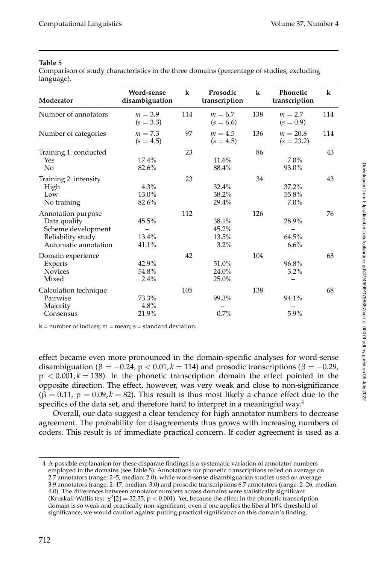#### **Table 5**

Comparison of study characteristics in the three domains (percentage of studies, excluding language).

| Moderator                                                                                             | <b>Word-sense</b><br>disambiguation | k   | Prosodic<br>transcription       | k   | Phonetic<br>transcription    | $\bf k$ |
|-------------------------------------------------------------------------------------------------------|-------------------------------------|-----|---------------------------------|-----|------------------------------|---------|
| Number of annotators                                                                                  | $m = 3.9$<br>$(s = 3.3)$            | 114 | $m = 6.7$<br>$(s = 6.6)$        | 138 | $m = 2.7$<br>$(s = 0.9)$     | 114     |
| Number of categories                                                                                  | $m = 7.3$<br>$(s = 4.5)$            | 97  | $m = 4.5$<br>$(s = 4.5)$        | 136 | $m = 20.8$<br>$(s = 23.2)$   | 114     |
| Training 1. conducted<br>Yes<br>No                                                                    | $17.4\%$<br>82.6%                   | 23  | 11.6%<br>88.4%                  | 86  | $7.0\%$<br>93.0%             | 43      |
| Training 2. intensity<br>High<br>Low<br>No training                                                   | 4.3%<br>13.0%<br>82.6%              | 23  | 32.4%<br>38.2%<br>29.4%         | 34  | $37.2\%$<br>55.8%<br>$7.0\%$ | 43      |
| Annotation purpose<br>Data quality<br>Scheme development<br>Reliability study<br>Automatic annotation | 45.5%<br>13.4%<br>41.1%             | 112 | 38.1%<br>45.2%<br>13.5%<br>3.2% | 126 | 28.9%<br>64.5%<br>6.6%       | 76      |
| Domain experience<br>Experts<br><b>Novices</b><br>Mixed                                               | 42.9%<br>54.8%<br>2.4%              | 42  | 51.0%<br>24.0%<br>25.0%         | 104 | 96.8%<br>3.2%                | 63      |
| Calculation technique<br>Pairwise<br>Majority<br>Consensus                                            | 73.3%<br>4.8%<br>21.9%              | 105 | 99.3%<br>0.7%                   | 138 | 94.1%<br>5.9%                | 68      |

 $k =$  number of indices;  $m =$  mean;  $s =$  standard deviation.

effect became even more pronounced in the domain-specific analyses for word-sense disambiguation ( $\beta = -0.24$ ,  $p < 0.01$ ,  $k = 114$ ) and prosodic transcriptions ( $\beta = -0.29$ ,  $p < 0.001, k = 138$ ). In the phonetic transcription domain the effect pointed in the opposite direction. The effect, however, was very weak and close to non-significance  $(\beta = 0.11, p = 0.09, k = 82)$ . This result is thus most likely a chance effect due to the specifics of the data set, and therefore hard to interpret in a meaningful way.<sup>4</sup>

Overall, our data suggest a clear tendency for high annotator numbers to decrease agreement. The probability for disagreements thus grows with increasing numbers of coders. This result is of immediate practical concern. If coder agreement is used as a

<sup>4</sup> A possible explanation for these disparate findings is a systematic variation of annotator numbers employed in the domains (see Table 5). Annotations for phonetic transcriptions relied on average on 2.7 annotators (range: 2–5, median: 2.0), while word-sense disambiguation studies used on average 3.9 annotators (range: 2–17, median: 3.0) and prosodic transcriptions 6.7 annotators (range: 2–26, median: 4.0). The differences between annotator numbers across domains were statistically significant (Kruskall-Wallis test:  $\chi^2[2] = 32.35$ ,  $p < 0.001$ ). Yet, because the effect in the phonetic transcription domain is so weak and practically non-significant, even if one applies the liberal 10% threshold of significance, we would caution against putting practical significance on this domain's finding.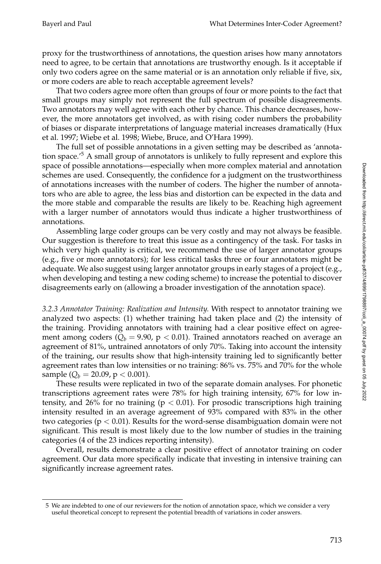proxy for the trustworthiness of annotations, the question arises how many annotators need to agree, to be certain that annotations are trustworthy enough. Is it acceptable if only two coders agree on the same material or is an annotation only reliable if five, six, or more coders are able to reach acceptable agreement levels?

That two coders agree more often than groups of four or more points to the fact that small groups may simply not represent the full spectrum of possible disagreements. Two annotators may well agree with each other by chance. This chance decreases, however, the more annotators get involved, as with rising coder numbers the probability of biases or disparate interpretations of language material increases dramatically (Hux et al. 1997; Wiebe et al. 1998; Wiebe, Bruce, and O'Hara 1999).

The full set of possible annotations in a given setting may be described as 'annotation space. $\frac{1}{5}$  A small group of annotators is unlikely to fully represent and explore this space of possible annotations—especially when more complex material and annotation schemes are used. Consequently, the confidence for a judgment on the trustworthiness of annotations increases with the number of coders. The higher the number of annotators who are able to agree, the less bias and distortion can be expected in the data and the more stable and comparable the results are likely to be. Reaching high agreement with a larger number of annotators would thus indicate a higher trustworthiness of annotations.

Assembling large coder groups can be very costly and may not always be feasible. Our suggestion is therefore to treat this issue as a contingency of the task. For tasks in which very high quality is critical, we recommend the use of larger annotator groups (e.g., five or more annotators); for less critical tasks three or four annotators might be adequate. We also suggest using larger annotator groups in early stages of a project (e.g., when developing and testing a new coding scheme) to increase the potential to discover disagreements early on (allowing a broader investigation of the annotation space).

*3.2.3 Annotator Training: Realization and Intensity.* With respect to annotator training we analyzed two aspects: (1) whether training had taken place and (2) the intensity of the training. Providing annotators with training had a clear positive effect on agreement among coders ( $Q_b$  = 9.90, p < 0.01). Trained annotators reached on average an agreement of 81%, untrained annotators of only 70%. Taking into account the intensity of the training, our results show that high-intensity training led to significantly better agreement rates than low intensities or no training: 86% vs. 75% and 70% for the whole sample ( $Q_b = 20.09$ , p < 0.001).

These results were replicated in two of the separate domain analyses. For phonetic transcriptions agreement rates were 78% for high training intensity, 67% for low intensity, and 26% for no training ( $p < 0.01$ ). For prosodic transcriptions high training intensity resulted in an average agreement of 93% compared with 83% in the other two categories (p < 0.01). Results for the word-sense disambiguation domain were not significant. This result is most likely due to the low number of studies in the training categories (4 of the 23 indices reporting intensity).

Overall, results demonstrate a clear positive effect of annotator training on coder agreement. Our data more specifically indicate that investing in intensive training can significantly increase agreement rates.

<sup>5</sup> We are indebted to one of our reviewers for the notion of annotation space, which we consider a very useful theoretical concept to represent the potential breadth of variations in coder answers.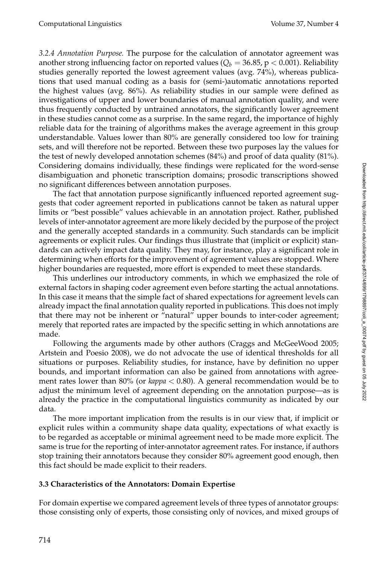*3.2.4 Annotation Purpose.* The purpose for the calculation of annotator agreement was another strong influencing factor on reported values ( $Q_b = 36.85$ ,  $p < 0.001$ ). Reliability studies generally reported the lowest agreement values (avg. 74%), whereas publications that used manual coding as a basis for (semi-)automatic annotations reported the highest values (avg. 86%). As reliability studies in our sample were defined as investigations of upper and lower boundaries of manual annotation quality, and were thus frequently conducted by untrained annotators, the significantly lower agreement in these studies cannot come as a surprise. In the same regard, the importance of highly reliable data for the training of algorithms makes the average agreement in this group understandable. Values lower than 80% are generally considered too low for training sets, and will therefore not be reported. Between these two purposes lay the values for the test of newly developed annotation schemes (84%) and proof of data quality (81%). Considering domains individually, these findings were replicated for the word-sense disambiguation and phonetic transcription domains; prosodic transcriptions showed no significant differences between annotation purposes.

The fact that annotation purpose significantly influenced reported agreement suggests that coder agreement reported in publications cannot be taken as natural upper limits or "best possible" values achievable in an annotation project. Rather, published levels of inter-annotator agreement are more likely decided by the purpose of the project and the generally accepted standards in a community. Such standards can be implicit agreements or explicit rules. Our findings thus illustrate that (implicit or explicit) standards can actively impact data quality. They may, for instance, play a significant role in determining when efforts for the improvement of agreement values are stopped. Where higher boundaries are requested, more effort is expended to meet these standards.

This underlines our introductory comments, in which we emphasized the role of external factors in shaping coder agreement even before starting the actual annotations. In this case it means that the simple fact of shared expectations for agreement levels can already impact the final annotation quality reported in publications. This does not imply that there may not be inherent or "natural" upper bounds to inter-coder agreement; merely that reported rates are impacted by the specific setting in which annotations are made.

Following the arguments made by other authors (Craggs and McGeeWood 2005; Artstein and Poesio 2008), we do not advocate the use of identical thresholds for all situations or purposes. Reliability studies, for instance, have by definition no upper bounds, and important information can also be gained from annotations with agreement rates lower than 80% (or *kappa* < 0.80). A general recommendation would be to adjust the minimum level of agreement depending on the annotation purpose—as is already the practice in the computational linguistics community as indicated by our data.

The more important implication from the results is in our view that, if implicit or explicit rules within a community shape data quality, expectations of what exactly is to be regarded as acceptable or minimal agreement need to be made more explicit. The same is true for the reporting of inter-annotator agreement rates. For instance, if authors stop training their annotators because they consider 80% agreement good enough, then this fact should be made explicit to their readers.

#### **3.3 Characteristics of the Annotators: Domain Expertise**

For domain expertise we compared agreement levels of three types of annotator groups: those consisting only of experts, those consisting only of novices, and mixed groups of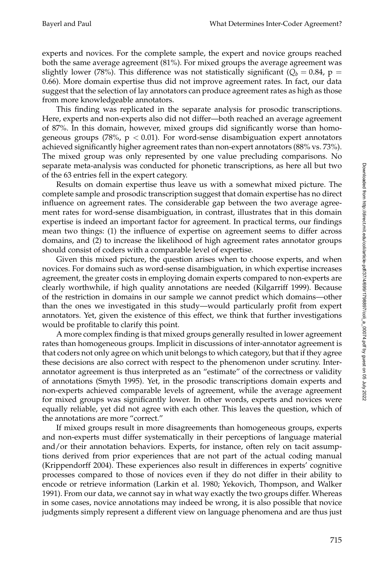experts and novices. For the complete sample, the expert and novice groups reached both the same average agreement (81%). For mixed groups the average agreement was slightly lower (78%). This difference was not statistically significant ( $Q_b = 0.84$ ,  $p =$ 0.66). More domain expertise thus did not improve agreement rates. In fact, our data suggest that the selection of lay annotators can produce agreement rates as high as those from more knowledgeable annotators.

This finding was replicated in the separate analysis for prosodic transcriptions. Here, experts and non-experts also did not differ—both reached an average agreement of 87%. In this domain, however, mixed groups did significantly worse than homogeneous groups (78%,  $p < 0.01$ ). For word-sense disambiguation expert annotators achieved significantly higher agreement rates than non-expert annotators (88% vs. 73%). The mixed group was only represented by one value precluding comparisons. No separate meta-analysis was conducted for phonetic transcriptions, as here all but two of the 63 entries fell in the expert category.

Results on domain expertise thus leave us with a somewhat mixed picture. The complete sample and prosodic transcription suggest that domain expertise has no direct influence on agreement rates. The considerable gap between the two average agreement rates for word-sense disambiguation, in contrast, illustrates that in this domain expertise is indeed an important factor for agreement. In practical terms, our findings mean two things: (1) the influence of expertise on agreement seems to differ across domains, and (2) to increase the likelihood of high agreement rates annotator groups should consist of coders with a comparable level of expertise.

Given this mixed picture, the question arises when to choose experts, and when novices. For domains such as word-sense disambiguation, in which expertise increases agreement, the greater costs in employing domain experts compared to non-experts are clearly worthwhile, if high quality annotations are needed (Kilgarriff 1999). Because of the restriction in domains in our sample we cannot predict which domains—other than the ones we investigated in this study—would particularly profit from expert annotators. Yet, given the existence of this effect, we think that further investigations would be profitable to clarify this point.

A more complex finding is that mixed groups generally resulted in lower agreement rates than homogeneous groups. Implicit in discussions of inter-annotator agreement is that coders not only agree on which unit belongs to which category, but that if they agree these decisions are also correct with respect to the phenomenon under scrutiny. Interannotator agreement is thus interpreted as an "estimate" of the correctness or validity of annotations (Smyth 1995). Yet, in the prosodic transcriptions domain experts and non-experts achieved comparable levels of agreement, while the average agreement for mixed groups was significantly lower. In other words, experts and novices were equally reliable, yet did not agree with each other. This leaves the question, which of the annotations are more "correct."

If mixed groups result in more disagreements than homogeneous groups, experts and non-experts must differ systematically in their perceptions of language material and/or their annotation behaviors. Experts, for instance, often rely on tacit assumptions derived from prior experiences that are not part of the actual coding manual (Krippendorff 2004). These experiences also result in differences in experts' cognitive processes compared to those of novices even if they do not differ in their ability to encode or retrieve information (Larkin et al. 1980; Yekovich, Thompson, and Walker 1991). From our data, we cannot say in what way exactly the two groups differ. Whereas in some cases, novice annotations may indeed be wrong, it is also possible that novice judgments simply represent a different view on language phenomena and are thus just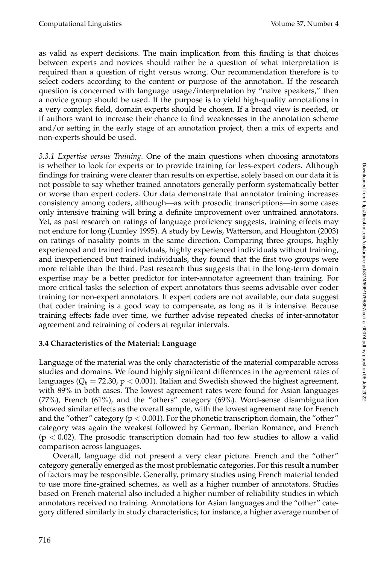as valid as expert decisions. The main implication from this finding is that choices between experts and novices should rather be a question of what interpretation is required than a question of right versus wrong. Our recommendation therefore is to select coders according to the content or purpose of the annotation. If the research question is concerned with language usage/interpretation by "naive speakers," then a novice group should be used. If the purpose is to yield high-quality annotations in a very complex field, domain experts should be chosen. If a broad view is needed, or if authors want to increase their chance to find weaknesses in the annotation scheme and/or setting in the early stage of an annotation project, then a mix of experts and non-experts should be used.

*3.3.1 Expertise versus Training.* One of the main questions when choosing annotators is whether to look for experts or to provide training for less-expert coders. Although findings for training were clearer than results on expertise, solely based on our data it is not possible to say whether trained annotators generally perform systematically better or worse than expert coders. Our data demonstrate that annotator training increases consistency among coders, although—as with prosodic transcriptions—in some cases only intensive training will bring a definite improvement over untrained annotators. Yet, as past research on ratings of language proficiency suggests, training effects may not endure for long (Lumley 1995). A study by Lewis, Watterson, and Houghton (2003) on ratings of nasality points in the same direction. Comparing three groups, highly experienced and trained individuals, highly experienced individuals without training, and inexperienced but trained individuals, they found that the first two groups were more reliable than the third. Past research thus suggests that in the long-term domain expertise may be a better predictor for inter-annotator agreement than training. For more critical tasks the selection of expert annotators thus seems advisable over coder training for non-expert annotators. If expert coders are not available, our data suggest that coder training is a good way to compensate, as long as it is intensive. Because training effects fade over time, we further advise repeated checks of inter-annotator agreement and retraining of coders at regular intervals.

#### **3.4 Characteristics of the Material: Language**

Language of the material was the only characteristic of the material comparable across studies and domains. We found highly significant differences in the agreement rates of languages ( $Q_b = 72.30$ ,  $p < 0.001$ ). Italian and Swedish showed the highest agreement, with 89% in both cases. The lowest agreement rates were found for Asian languages (77%), French (61%), and the "others" category (69%). Word-sense disambiguation showed similar effects as the overall sample, with the lowest agreement rate for French and the "other" category ( $p < 0.001$ ). For the phonetic transcription domain, the "other" category was again the weakest followed by German, Iberian Romance, and French  $(p < 0.02)$ . The prosodic transcription domain had too few studies to allow a valid comparison across languages.

Overall, language did not present a very clear picture. French and the "other" category generally emerged as the most problematic categories. For this result a number of factors may be responsible. Generally, primary studies using French material tended to use more fine-grained schemes, as well as a higher number of annotators. Studies based on French material also included a higher number of reliability studies in which annotators received no training. Annotations for Asian languages and the "other" category differed similarly in study characteristics; for instance, a higher average number of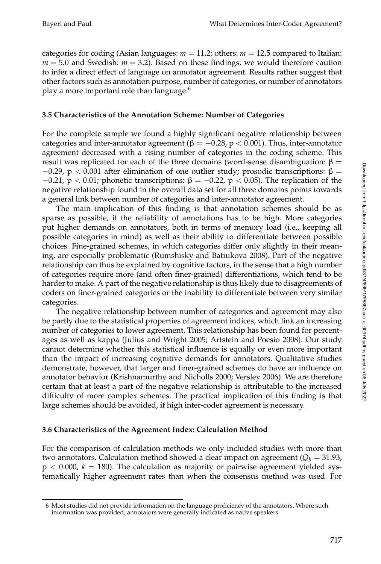categories for coding (Asian languages:  $m = 11.2$ ; others:  $m = 12.5$  compared to Italian:  $m = 5.0$  and Swedish:  $m = 3.2$ ). Based on these findings, we would therefore caution to infer a direct effect of language on annotator agreement. Results rather suggest that other factors such as annotation purpose, number of categories, or number of annotators play a more important role than language.<sup>6</sup>

#### **3.5 Characteristics of the Annotation Scheme: Number of Categories**

For the complete sample we found a highly significant negative relationship between categories and inter-annotator agreement ( $\beta = -0.28$ , p < 0.001). Thus, inter-annotator agreement decreased with a rising number of categories in the coding scheme. This result was replicated for each of the three domains (word-sense disambiguation: β =  $-0.29$ , p < 0.001 after elimination of one outlier study; prosodic transcriptions:  $\beta =$  $-0.21$ ,  $p < 0.01$ ; phonetic transcriptions:  $\beta = -0.22$ ,  $p < 0.05$ ). The replication of the negative relationship found in the overall data set for all three domains points towards a general link between number of categories and inter-annotator agreement.

The main implication of this finding is that annotation schemes should be as sparse as possible, if the reliability of annotations has to be high. More categories put higher demands on annotators, both in terms of memory load (i.e., keeping all possible categories in mind) as well as their ability to differentiate between possible choices. Fine-grained schemes, in which categories differ only slightly in their meaning, are especially problematic (Rumshisky and Batiukova 2008). Part of the negative relationship can thus be explained by cognitive factors, in the sense that a high number of categories require more (and often finer-grained) differentiations, which tend to be harder to make. A part of the negative relationship is thus likely due to disagreements of coders on finer-grained categories or the inability to differentiate between very similar categories.

The negative relationship between number of categories and agreement may also be partly due to the statistical properties of agreement indices, which link an increasing number of categories to lower agreement. This relationship has been found for percentages as well as kappa (Julius and Wright 2005; Artstein and Poesio 2008). Our study cannot determine whether this statistical influence is equally or even more important than the impact of increasing cognitive demands for annotators. Qualitative studies demonstrate, however, that larger and finer-grained schemes do have an influence on annotator behavior (Krishnamurthy and Nicholls 2000; Versley 2006). We are therefore certain that at least a part of the negative relationship is attributable to the increased difficulty of more complex schemes. The practical implication of this finding is that large schemes should be avoided, if high inter-coder agreement is necessary.

#### **3.6 Characteristics of the Agreement Index: Calculation Method**

For the comparison of calculation methods we only included studies with more than two annotators. Calculation method showed a clear impact on agreement  $(Q_b = 31.93$ ,  $p < 0.000$ ,  $k = 180$ ). The calculation as majority or pairwise agreement yielded systematically higher agreement rates than when the consensus method was used. For

<sup>6</sup> Most studies did not provide information on the language proficiency of the annotators. Where such information was provided, annotators were generally indicated as native speakers.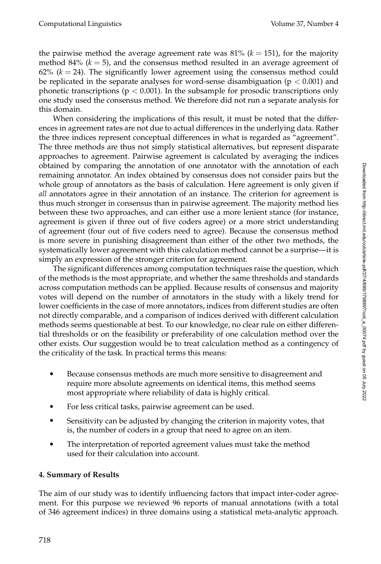the pairwise method the average agreement rate was  $81\%$  ( $k = 151$ ), for the majority method 84%  $(k = 5)$ , and the consensus method resulted in an average agreement of  $62\%$  ( $k = 24$ ). The significantly lower agreement using the consensus method could be replicated in the separate analyses for word-sense disambiguation ( $p < 0.001$ ) and phonetic transcriptions ( $p < 0.001$ ). In the subsample for prosodic transcriptions only one study used the consensus method. We therefore did not run a separate analysis for this domain.

When considering the implications of this result, it must be noted that the differences in agreement rates are not due to actual differences in the underlying data. Rather the three indices represent conceptual differences in what is regarded as "agreement". The three methods are thus not simply statistical alternatives, but represent disparate approaches to agreement. Pairwise agreement is calculated by averaging the indices obtained by comparing the annotation of one annotator with the annotation of each remaining annotator. An index obtained by consensus does not consider pairs but the whole group of annotators as the basis of calculation. Here agreement is only given if *all* annotators agree in their annotation of an instance. The criterion for agreement is thus much stronger in consensus than in pairwise agreement. The majority method lies between these two approaches, and can either use a more lenient stance (for instance, agreement is given if three out of five coders agree) or a more strict understanding of agreement (four out of five coders need to agree). Because the consensus method is more severe in punishing disagreement than either of the other two methods, the systematically lower agreement with this calculation method cannot be a surprise—it is simply an expression of the stronger criterion for agreement.

The significant differences among computation techniques raise the question, which of the methods is the most appropriate, and whether the same thresholds and standards across computation methods can be applied. Because results of consensus and majority votes will depend on the number of annotators in the study with a likely trend for lower coefficients in the case of more annotators, indices from different studies are often not directly comparable, and a comparison of indices derived with different calculation methods seems questionable at best. To our knowledge, no clear rule on either differential thresholds or on the feasibility or preferability of one calculation method over the other exists. Our suggestion would be to treat calculation method as a contingency of the criticality of the task. In practical terms this means:

- - Because consensus methods are much more sensitive to disagreement and require more absolute agreements on identical items, this method seems most appropriate where reliability of data is highly critical.
- -For less critical tasks, pairwise agreement can be used.
- - Sensitivity can be adjusted by changing the criterion in majority votes, that is, the number of coders in a group that need to agree on an item.
- - The interpretation of reported agreement values must take the method used for their calculation into account.

#### **4. Summary of Results**

The aim of our study was to identify influencing factors that impact inter-coder agreement. For this purpose we reviewed 96 reports of manual annotations (with a total of 346 agreement indices) in three domains using a statistical meta-analytic approach.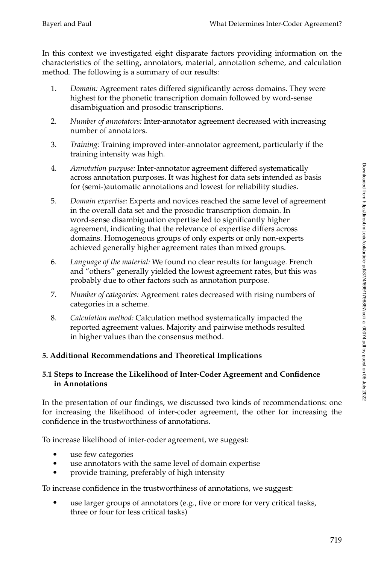In this context we investigated eight disparate factors providing information on the characteristics of the setting, annotators, material, annotation scheme, and calculation method. The following is a summary of our results:

- 1. *Domain:* Agreement rates differed significantly across domains. They were highest for the phonetic transcription domain followed by word-sense disambiguation and prosodic transcriptions.
- 2. *Number of annotators:* Inter-annotator agreement decreased with increasing number of annotators.
- 3. *Training:* Training improved inter-annotator agreement, particularly if the training intensity was high.
- 4. *Annotation purpose:* Inter-annotator agreement differed systematically across annotation purposes. It was highest for data sets intended as basis for (semi-)automatic annotations and lowest for reliability studies.
- 5. *Domain expertise:* Experts and novices reached the same level of agreement in the overall data set and the prosodic transcription domain. In word-sense disambiguation expertise led to significantly higher agreement, indicating that the relevance of expertise differs across domains. Homogeneous groups of only experts or only non-experts achieved generally higher agreement rates than mixed groups.
- 6. *Language of the material:* We found no clear results for language. French and "others" generally yielded the lowest agreement rates, but this was probably due to other factors such as annotation purpose.
- 7. *Number of categories:* Agreement rates decreased with rising numbers of categories in a scheme.
- 8. *Calculation method:* Calculation method systematically impacted the reported agreement values. Majority and pairwise methods resulted in higher values than the consensus method.

#### **5. Additional Recommendations and Theoretical Implications**

#### **5.1 Steps to Increase the Likelihood of Inter-Coder Agreement and Confidence in Annotations**

In the presentation of our findings, we discussed two kinds of recommendations: one for increasing the likelihood of inter-coder agreement, the other for increasing the confidence in the trustworthiness of annotations.

To increase likelihood of inter-coder agreement, we suggest:

- $\bullet$
- use few categories<br>use annotators with the same level of domain expertise use annotators with the same level of domain expertise<br>• provide training, preferably of high intensity
- 

To increase confidence in the trustworthiness of annotations, we suggest:

 use larger groups of annotators (e.g., five or more for very critical tasks, three or four for less critical tasks)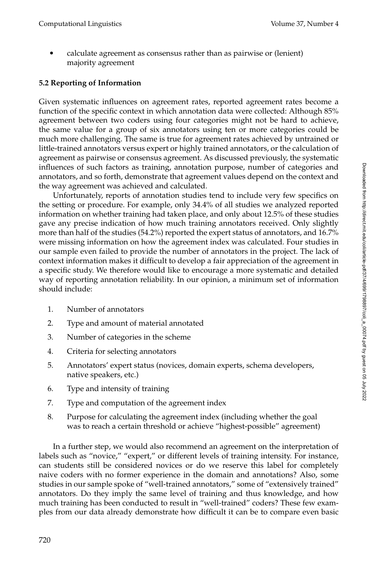calculate agreement as consensus rather than as pairwise or (lenient) majority agreement

### **5.2 Reporting of Information**

Given systematic influences on agreement rates, reported agreement rates become a function of the specific context in which annotation data were collected: Although 85% agreement between two coders using four categories might not be hard to achieve, the same value for a group of six annotators using ten or more categories could be much more challenging. The same is true for agreement rates achieved by untrained or little-trained annotators versus expert or highly trained annotators, or the calculation of agreement as pairwise or consensus agreement. As discussed previously, the systematic influences of such factors as training, annotation purpose, number of categories and annotators, and so forth, demonstrate that agreement values depend on the context and the way agreement was achieved and calculated.

Unfortunately, reports of annotation studies tend to include very few specifics on the setting or procedure. For example, only 34.4% of all studies we analyzed reported information on whether training had taken place, and only about 12.5% of these studies gave any precise indication of how much training annotators received. Only slightly more than half of the studies (54.2%) reported the expert status of annotators, and 16.7% were missing information on how the agreement index was calculated. Four studies in our sample even failed to provide the number of annotators in the project. The lack of context information makes it difficult to develop a fair appreciation of the agreement in a specific study. We therefore would like to encourage a more systematic and detailed way of reporting annotation reliability. In our opinion, a minimum set of information should include:

- 1. Number of annotators
- 2. Type and amount of material annotated
- 3. Number of categories in the scheme
- 4. Criteria for selecting annotators
- 5. Annotators' expert status (novices, domain experts, schema developers, native speakers, etc.)
- 6. Type and intensity of training
- 7. Type and computation of the agreement index
- 8. Purpose for calculating the agreement index (including whether the goal was to reach a certain threshold or achieve "highest-possible" agreement)

In a further step, we would also recommend an agreement on the interpretation of labels such as "novice," "expert," or different levels of training intensity. For instance, can students still be considered novices or do we reserve this label for completely naive coders with no former experience in the domain and annotations? Also, some studies in our sample spoke of "well-trained annotators," some of "extensively trained" annotators. Do they imply the same level of training and thus knowledge, and how much training has been conducted to result in "well-trained" coders? These few examples from our data already demonstrate how difficult it can be to compare even basic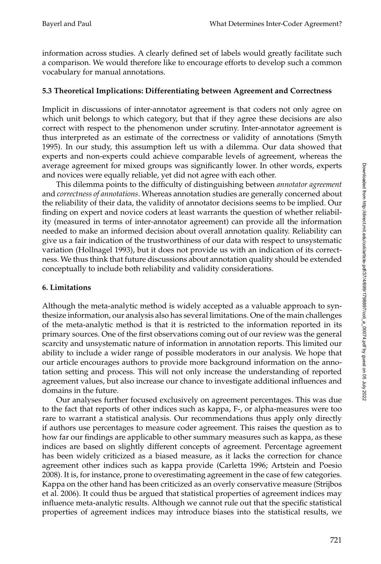information across studies. A clearly defined set of labels would greatly facilitate such a comparison. We would therefore like to encourage efforts to develop such a common vocabulary for manual annotations.

## **5.3 Theoretical Implications: Differentiating between Agreement and Correctness**

Implicit in discussions of inter-annotator agreement is that coders not only agree on which unit belongs to which category, but that if they agree these decisions are also correct with respect to the phenomenon under scrutiny. Inter-annotator agreement is thus interpreted as an estimate of the correctness or validity of annotations (Smyth 1995). In our study, this assumption left us with a dilemma. Our data showed that experts and non-experts could achieve comparable levels of agreement, whereas the average agreement for mixed groups was significantly lower. In other words, experts and novices were equally reliable, yet did not agree with each other.

This dilemma points to the difficulty of distinguishing between *annotator agreement* and *correctness of annotations*. Whereas annotation studies are generally concerned about the reliability of their data, the validity of annotator decisions seems to be implied. Our finding on expert and novice coders at least warrants the question of whether reliability (measured in terms of inter-annotator agreement) can provide all the information needed to make an informed decision about overall annotation quality. Reliability can give us a fair indication of the trustworthiness of our data with respect to unsystematic variation (Hollnagel 1993), but it does not provide us with an indication of its correctness. We thus think that future discussions about annotation quality should be extended conceptually to include both reliability and validity considerations.

## **6. Limitations**

Although the meta-analytic method is widely accepted as a valuable approach to synthesize information, our analysis also has several limitations. One of the main challenges of the meta-analytic method is that it is restricted to the information reported in its primary sources. One of the first observations coming out of our review was the general scarcity and unsystematic nature of information in annotation reports. This limited our ability to include a wider range of possible moderators in our analysis. We hope that our article encourages authors to provide more background information on the annotation setting and process. This will not only increase the understanding of reported agreement values, but also increase our chance to investigate additional influences and domains in the future.

Our analyses further focused exclusively on agreement percentages. This was due to the fact that reports of other indices such as kappa, F-, or alpha-measures were too rare to warrant a statistical analysis. Our recommendations thus apply only directly if authors use percentages to measure coder agreement. This raises the question as to how far our findings are applicable to other summary measures such as kappa, as these indices are based on slightly different concepts of agreement. Percentage agreement has been widely criticized as a biased measure, as it lacks the correction for chance agreement other indices such as kappa provide (Carletta 1996; Artstein and Poesio 2008). It is, for instance, prone to overestimating agreement in the case of few categories. Kappa on the other hand has been criticized as an overly conservative measure (Strijbos et al. 2006). It could thus be argued that statistical properties of agreement indices may influence meta-analytic results. Although we cannot rule out that the specific statistical properties of agreement indices may introduce biases into the statistical results, we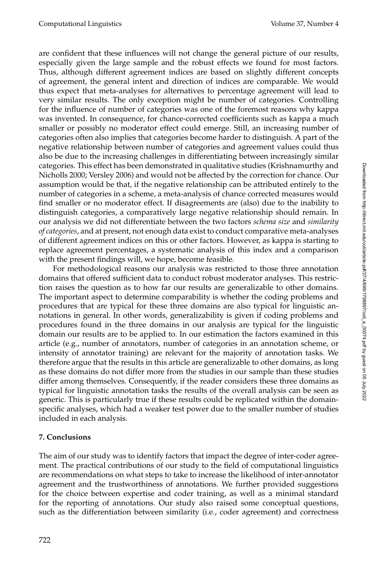are confident that these influences will not change the general picture of our results, especially given the large sample and the robust effects we found for most factors. Thus, although different agreement indices are based on slightly different concepts of agreement, the general intent and direction of indices are comparable. We would thus expect that meta-analyses for alternatives to percentage agreement will lead to very similar results. The only exception might be number of categories. Controlling for the influence of number of categories was one of the foremost reasons why kappa was invented. In consequence, for chance-corrected coefficients such as kappa a much smaller or possibly no moderator effect could emerge. Still, an increasing number of categories often also implies that categories become harder to distinguish. A part of the negative relationship between number of categories and agreement values could thus also be due to the increasing challenges in differentiating between increasingly similar categories. This effect has been demonstrated in qualitative studies (Krishnamurthy and Nicholls 2000; Versley 2006) and would not be affected by the correction for chance. Our assumption would be that, if the negative relationship can be attributed entirely to the number of categories in a scheme, a meta-analysis of chance corrected measures would find smaller or no moderator effect. If disagreements are (also) due to the inability to distinguish categories, a comparatively large negative relationship should remain. In our analysis we did not differentiate between the two factors *schema size* and *similarity of categories*, and at present, not enough data exist to conduct comparative meta-analyses of different agreement indices on this or other factors. However, as kappa is starting to replace agreement percentages, a systematic analysis of this index and a comparison with the present findings will, we hope, become feasible.

For methodological reasons our analysis was restricted to those three annotation domains that offered sufficient data to conduct robust moderator analyses. This restriction raises the question as to how far our results are generalizable to other domains. The important aspect to determine comparability is whether the coding problems and procedures that are typical for these three domains are also typical for linguistic annotations in general. In other words, generalizability is given if coding problems and procedures found in the three domains in our analysis are typical for the linguistic domain our results are to be applied to. In our estimation the factors examined in this article (e.g., number of annotators, number of categories in an annotation scheme, or intensity of annotator training) are relevant for the majority of annotation tasks. We therefore argue that the results in this article are generalizable to other domains, as long as these domains do not differ more from the studies in our sample than these studies differ among themselves. Consequently, if the reader considers these three domains as typical for linguistic annotation tasks the results of the overall analysis can be seen as generic. This is particularly true if these results could be replicated within the domainspecific analyses, which had a weaker test power due to the smaller number of studies included in each analysis.

#### **7. Conclusions**

The aim of our study was to identify factors that impact the degree of inter-coder agreement. The practical contributions of our study to the field of computational linguistics are recommendations on what steps to take to increase the likelihood of inter-annotator agreement and the trustworthiness of annotations. We further provided suggestions for the choice between expertise and coder training, as well as a minimal standard for the reporting of annotations. Our study also raised some conceptual questions, such as the differentiation between similarity (i.e., coder agreement) and correctness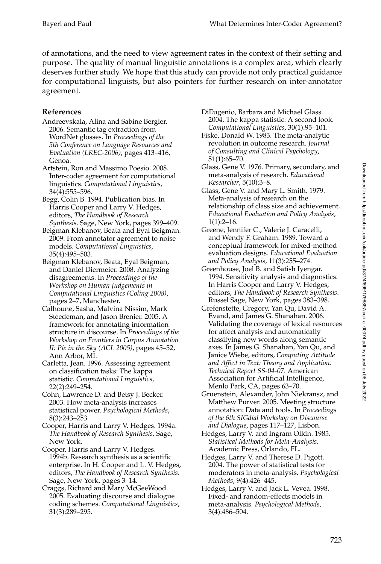of annotations, and the need to view agreement rates in the context of their setting and purpose. The quality of manual linguistic annotations is a complex area, which clearly deserves further study. We hope that this study can provide not only practical guidance for computational linguists, but also pointers for further research on inter-annotator agreement.

## **References**

- Andreevskala, Alina and Sabine Bergler. 2006. Semantic tag extraction from WordNet glosses. In *Proceedings of the 5th Conference on Language Resources and Evaluation (LREC-2006)*, pages 413–416, Genoa.
- Artstein, Ron and Massimo Poesio. 2008. Inter-coder agreement for computational linguistics. *Computational Linguistics*, 34(4):555–596.
- Begg, Colin B. 1994. Publication bias. In Harris Cooper and Larry V. Hedges, editors, *The Handbook of Research Synthesis*. Sage, New York, pages 399–409.
- Beigman Klebanov, Beata and Eyal Beigman. 2009. From annotator agreement to noise models. *Computational Linguistics*, 35(4):495–503.
- Beigman Klebanov, Beata, Eyal Beigman, and Daniel Diermeier. 2008. Analyzing disagreements. In *Proceedings of the Workshop on Human Judgements in Computational Linguistics (Coling 2008)*, pages 2–7, Manchester.
- Calhoune, Sasha, Malvina Nissim, Mark Steedeman, and Jason Brenier. 2005. A framework for annotating information structure in discourse. In *Proceedings of the Workshop on Frontiers in Corpus Annotation II: Pie in the Sky (ACL 2005)*, pages 45–52, Ann Arbor, MI.
- Carletta, Jean. 1996. Assessing agreement on classification tasks: The kappa statistic. *Computational Linguistics*, 22(2):249–254.
- Cohn, Lawrence D. and Betsy J. Becker. 2003. How meta-analysis increases statistical power. *Psychological Methods*, 8(3):243–253.
- Cooper, Harris and Larry V. Hedges. 1994a. *The Handbook of Research Synthesis*. Sage, New York.
- Cooper, Harris and Larry V. Hedges. 1994b. Research synthesis as a scientific enterprise. In H. Cooper and L. V. Hedges, editors, *The Handbook of Research Synthesis*. Sage, New York, pages 3–14.
- Craggs, Richard and Mary McGeeWood. 2005. Evaluating discourse and dialogue coding schemes. *Computational Linguistics*, 31(3):289–295.
- DiEugenio, Barbara and Michael Glass. 2004. The kappa statistic: A second look. *Computational Linguistics*, 30(1):95–101.
- Fiske, Donald W. 1983. The meta-analytic revolution in outcome research. *Journal of Consulting and Clinical Psychology*, 51(1):65–70.
- Glass, Gene V. 1976. Primary, secondary, and meta-analysis of research. *Educational Researcher*, 5(10):3–8.
- Glass, Gene V. and Mary L. Smith. 1979. Meta-analysis of research on the relationship of class size and achievement. *Educational Evaluation and Policy Analysis*, 1(1):2–16.
- Greene, Jennifer C., Valerie J. Caracelli, and Wendy F. Graham. 1989. Toward a conceptual framework for mixed-method evaluation designs. *Educational Evaluation and Policy Analysis*, 11(3):255–274.
- Greenhouse, Joel B. and Satish Iyengar. 1994. Sensitivity analysis and diagnostics. In Harris Cooper and Larry V. Hedges, editors, *The Handbook of Research Synthesis*. Russel Sage, New York, pages 383–398.
- Grefenstette, Gregory, Yan Qu, David A. Evand, and James G. Shanahan. 2006. Validating the coverage of lexical resources for affect analysis and automatically classifying new words along semantic axes. In James G. Shanahan, Yan Qu, and Janice Wiebe, editors, *Computing Attitude and Affect in Text: Theory and Application. Technical Report SS-04-07*. American Association for Artificial Intelligence, Menlo Park, CA, pages 63–70.
- Gruenstein, Alexander, John Niekransz, and Matthew Purver. 2005. Meeting structure annotation: Data and tools. In *Proceedings of the 6th SIGdial Workshop on Discourse and Dialogue*, pages 117–127, Lisbon.
- Hedges, Larry V. and Ingram Olkin. 1985. *Statistical Methods for Meta-Analysis*. Academic Press, Orlando, FL.
- Hedges, Larry V. and Therese D. Pigott. 2004. The power of statistical tests for moderators in meta-analysis. *Psychological Methods*, 9(4):426–445.
- Hedges, Larry V. and Jack L. Vevea. 1998. Fixed- and random-effects models in meta-analysis. *Psychological Methods*, 3(4):486–504.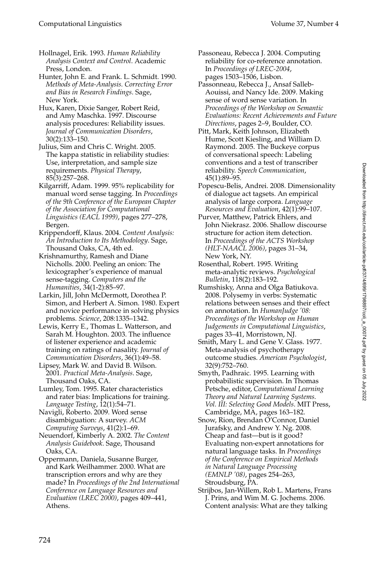Hollnagel, Erik. 1993. *Human Reliability Analysis Context and Control*. Academic Press, London.

Hunter, John E. and Frank. L. Schmidt. 1990. *Methods of Meta-Analysis. Correcting Error and Bias in Research Findings*. Sage, New York.

Hux, Karen, Dixie Sanger, Robert Reid, and Amy Maschka. 1997. Discourse analysis procedures: Reliability issues. *Journal of Communication Disorders*, 30(2):133–150.

Julius, Sim and Chris C. Wright. 2005. The kappa statistic in reliability studies: Use, interpretation, and sample size requirements. *Physical Therapy*, 85(3):257–268.

Kilgarriff, Adam. 1999. 95% replicability for manual word sense tagging. In *Proceedings of the 9th Conference of the European Chapter of the Association for Computational Linguistics (EACL 1999)*, pages 277–278, Bergen.

Krippendorff, Klaus. 2004. *Content Analysis: An Introduction to Its Methodology*. Sage, Thousand Oaks, CA, 4th ed.

Krishnamurthy, Ramesh and Diane Nicholls. 2000. Peeling an onion: The lexicographer's experience of manual sense-tagging. *Computers and the Humanities*, 34(1-2):85–97.

Larkin, Jill, John McDermott, Dorothea P. Simon, and Herbert A. Simon. 1980. Expert and novice performance in solving physics problems. *Science*, 208:1335–1342.

Lewis, Kerry E., Thomas L. Watterson, and Sarah M. Houghton. 2003. The influence of listener experience and academic training on ratings of nasality. *Journal of Communication Disorders*, 36(1):49–58.

Lipsey, Mark W. and David B. Wilson. 2001. *Practical Meta-Analysis*. Sage, Thousand Oaks, CA.

Lumley, Tom. 1995. Rater characteristics and rater bias: Implications for training. *Language Testing*, 12(1):54–71.

Navigli, Roberto. 2009. Word sense disambiguation: A survey. *ACM Computing Surveys*, 41(2):1–69.

Neuendorf, Kimberly A. 2002. *The Content Analysis Guidebook*. Sage, Thousand Oaks, CA.

Oppermann, Daniela, Susanne Burger, and Kark Weilhammer. 2000. What are transcription errors and why are they made? In *Proceedings of the 2nd International Conference on Language Resources and Evaluation (LREC 2000)*, pages 409–441, Athens.

Passoneau, Rebecca J. 2004. Computing reliability for co-reference annotation. In *Proceedings of LREC-2004*, pages 1503–1506, Lisbon.

Passonneau, Rebecca J., Ansaf Salleb-Aouissi, and Nancy Ide. 2009. Making sense of word sense variation. In *Proceedings of the Workshop on Semantic Evaluations: Recent Achievements and Future Directions*, pages 2–9, Boulder, CO.

Pitt, Mark, Keith Johnson, Elizabeth Hume, Scott Kiesling, and William D. Raymond. 2005. The Buckeye corpus of conversational speech: Labeling conventions and a test of transcriber reliability. *Speech Communication*, 45(1):89–95.

- Popescu-Belis, Andrei. 2008. Dimensionality of dialogue act tagsets. An empirical analysis of large corpora. *Language Resources and Evaluation*, 42(1):99–107.
- Purver, Matthew, Patrick Ehlers, and John Niekrasz. 2006. Shallow discourse structure for action item detection. In *Proceedings of the ACTS Workshop (HLT-NAACL 2006)*, pages 31–34, New York, NY.
- Rosenthal, Robert. 1995. Writing meta-analytic reviews. *Psychological Bulletin*, 118(2):183–192.
- Rumshisky, Anna and Olga Batiukova. 2008. Polysemy in verbs: Systematic relations between senses and their effect on annotation. In *HumanJudge '08: Proceedings of the Workshop on Human Judgements in Computational Linguistics*, pages 33–41, Morristown, NJ.
- Smith, Mary L. and Gene V. Glass. 1977. Meta-analysis of psychotherapy outcome studies. *American Psychologist*, 32(9):752–760.
- Smyth, Padhraic. 1995. Learning with probabilistic supervision. In Thomas Petsche, editor, *Computational Learning Theory and Natural Learning Systems. Vol. III: Selecting Good Models*. MIT Press, Cambridge, MA, pages 163–182.
- Snow, Rion, Brendan O'Connor, Daniel Jurafsky, and Andrew Y. Ng. 2008. Cheap and fast—but is it good? Evaluating non-expert annotations for natural language tasks. In *Proceedings of the Conference on Empirical Methods in Natural Language Processing (EMNLP '08)*, pages 254–263, Stroudsburg, PA.
- Strijbos, Jan-Willem, Rob L. Martens, Frans J. Prins, and Wim M. G. Jochems. 2006. Content analysis: What are they talking